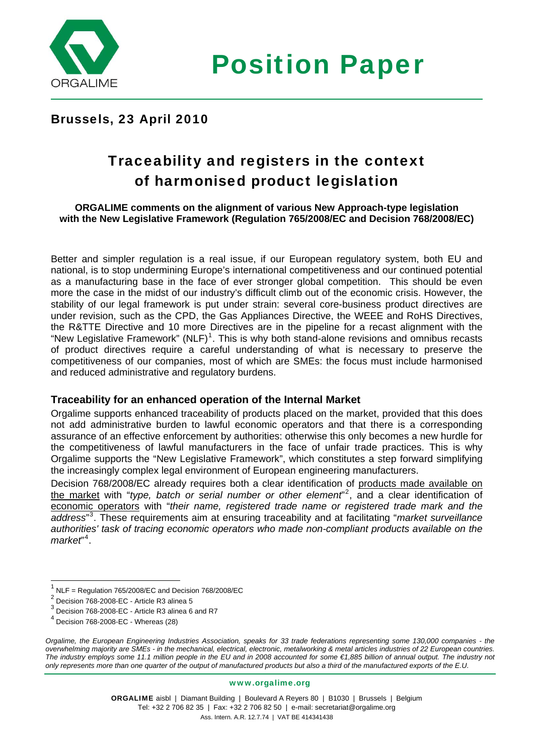

Position Paper

## Brussels, 23 April 2010

# Traceability and registers in the context of harmonised product legislation

#### **ORGALIME comments on the alignment of various New Approach-type legislation with the New Legislative Framework (Regulation 765/2008/EC and Decision 768/2008/EC)**

Better and simpler regulation is a real issue, if our European regulatory system, both EU and national, is to stop undermining Europe's international competitiveness and our continued potential as a manufacturing base in the face of ever stronger global competition. This should be even more the case in the midst of our industry's difficult climb out of the economic crisis. However, the stability of our legal framework is put under strain: several core-business product directives are under revision, such as the CPD, the Gas Appliances Directive, the WEEE and RoHS Directives, the R&TTE Directive and 10 more Directives are in the pipeline for a recast alignment with the "New Legislative Framework" (NLF)<sup>[1](#page-0-0)</sup>. This is why both stand-alone revisions and omnibus recasts of product directives require a careful understanding of what is necessary to preserve the competitiveness of our companies, most of which are SMEs: the focus must include harmonised and reduced administrative and regulatory burdens.

#### **Traceability for an enhanced operation of the Internal Market**

Orgalime supports enhanced traceability of products placed on the market, provided that this does not add administrative burden to lawful economic operators and that there is a corresponding assurance of an effective enforcement by authorities: otherwise this only becomes a new hurdle for the competitiveness of lawful manufacturers in the face of unfair trade practices. This is why Orgalime supports the "New Legislative Framework", which constitutes a step forward simplifying the increasingly complex legal environment of European engineering manufacturers.

Decision 768/2008/EC already requires both a clear identification of products made available on the market with "*type, batch or serial number or other element*" [2](#page-0-1) , and a clear identification of economic operators with "*their name, registered trade name or registered trade mark and the address*" [3](#page-0-2) . These requirements aim at ensuring traceability and at facilitating "*market surveillance authorities' task of tracing economic operators who made non-compliant products available on the market*" [4](#page-0-3) .

www.orgalime.org

<span id="page-0-0"></span><sup>1</sup> NLF = Regulation 765/2008/EC and Decision 768/2008/EC

<span id="page-0-1"></span><sup>2</sup> Decision 768-2008-EC - Article R3 alinea 5

<span id="page-0-2"></span> $\frac{3}{3}$  Decision 768-2008-EC - Article R3 alinea 6 and R7<br> $\frac{4}{3}$  Decision 768-2008 EC - Whatson (20)

Decision 768-2008-EC - Whereas (28)

<span id="page-0-3"></span>*Orgalime, the European Engineering Industries Association, speaks for 33 trade federations representing some 130,000 companies - the overwhelming majority are SMEs - in the mechanical, electrical, electronic, metalworking & metal articles industries of 22 European countries. The industry employs some 11.1 million people in the EU and in 2008 accounted for some €1,885 billion of annual output. The industry not only represents more than one quarter of the output of manufactured products but also a third of the manufactured exports of the E.U.*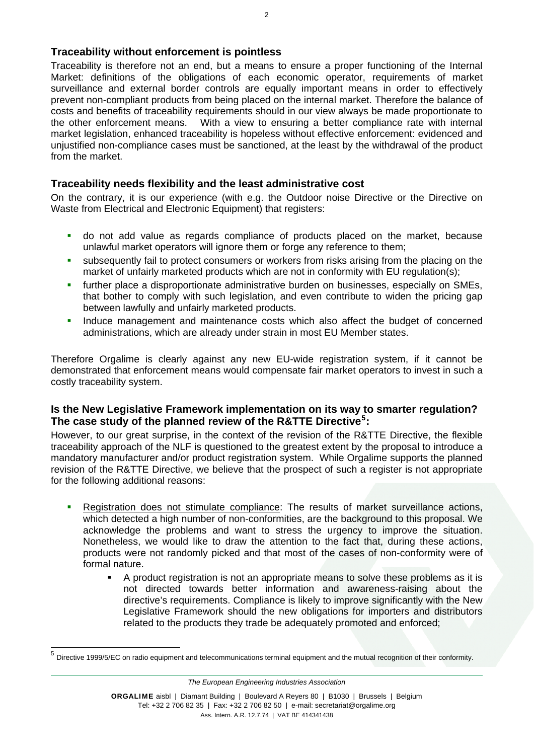#### **Traceability without enforcement is pointless**

Traceability is therefore not an end, but a means to ensure a proper functioning of the Internal Market: definitions of the obligations of each economic operator, requirements of market surveillance and external border controls are equally important means in order to effectively prevent non-compliant products from being placed on the internal market. Therefore the balance of costs and benefits of traceability requirements should in our view always be made proportionate to the other enforcement means. With a view to ensuring a better compliance rate with internal market legislation, enhanced traceability is hopeless without effective enforcement: evidenced and unjustified non-compliance cases must be sanctioned, at the least by the withdrawal of the product from the market.

### **Traceability needs flexibility and the least administrative cost**

On the contrary, it is our experience (with e.g. the Outdoor noise Directive or the Directive on Waste from Electrical and Electronic Equipment) that registers:

- do not add value as regards compliance of products placed on the market, because unlawful market operators will ignore them or forge any reference to them;
- subsequently fail to protect consumers or workers from risks arising from the placing on the market of unfairly marketed products which are not in conformity with EU regulation(s);
- further place a disproportionate administrative burden on businesses, especially on SMEs, that bother to comply with such legislation, and even contribute to widen the pricing gap between lawfully and unfairly marketed products.
- Induce management and maintenance costs which also affect the budget of concerned administrations, which are already under strain in most EU Member states.

Therefore Orgalime is clearly against any new EU-wide registration system, if it cannot be demonstrated that enforcement means would compensate fair market operators to invest in such a costly traceability system.

#### **Is the New Legislative Framework implementation on its way to smarter regulation? The case study of the planned review of the R&TTE Directive[5](#page-1-0) :**

However, to our great surprise, in the context of the revision of the R&TTE Directive, the flexible traceability approach of the NLF is questioned to the greatest extent by the proposal to introduce a mandatory manufacturer and/or product registration system. While Orgalime supports the planned revision of the R&TTE Directive, we believe that the prospect of such a register is not appropriate for the following additional reasons:

- Registration does not stimulate compliance: The results of market surveillance actions, which detected a high number of non-conformities, are the background to this proposal. We acknowledge the problems and want to stress the urgency to improve the situation. Nonetheless, we would like to draw the attention to the fact that, during these actions, products were not randomly picked and that most of the cases of non-conformity were of formal nature.
	- A product registration is not an appropriate means to solve these problems as it is not directed towards better information and awareness-raising about the directive's requirements. Compliance is likely to improve significantly with the New Legislative Framework should the new obligations for importers and distributors related to the products they trade be adequately promoted and enforced;

 $\overline{a}$ 

*The European Engineering Industries Association* 

<span id="page-1-0"></span><sup>5</sup> Directive 1999/5/EC on radio equipment and telecommunications terminal equipment and the mutual recognition of their conformity.